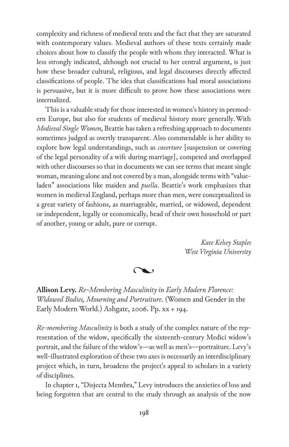complexity and richness of medieval texts and the fact that they are saturated with contemporary values. Medieval authors of these texts certainly made choices about how to classify the people with whom they interacted. What is less strongly indicated, although not crucial to her central argument, is just how these broader cultural, religious, and legal discourses directly affected classifications of people. The idea that classifications had moral associations is persuasive, but it is more difficult to prove how these associations were internalized.

This is a valuable study for those interested in women's history in premodern Europe, but also for students of medieval history more generally. With *Medieval Single Women*, Beattie has taken a refreshing approach to documents sometimes judged as overtly transparent. Also commendable is her ability to explore how legal understandings, such as *coverture* [suspension or covering of the legal personality of a wife during marriage], competed and overlapped with other discourses so that in documents we can see terms that meant single woman, meaning alone and not covered by a man, alongside terms with "valueladen" associations like maiden and *puella*. Beattie's work emphasizes that women in medieval England, perhaps more than men, were conceptualized in a great variety of fashions, as marriageable, married, or widowed, dependent or independent, legally or economically, head of their own household or part of another, young or adult, pure or corrupt.

> *Kate Kelsey Staples West Virginia University*

 $\infty$ 

**Allison Levy.** *Re-Membering Masculinity in Early Modern Florence: Widowed Bodies, Mourning and Portraiture*. (Women and Gender in the Early Modern World.) Ashgate, 2006. Pp. xx + 194.

*Re-membering Masculinity* is both a study of the complex nature of the representation of the widow, specifically the sixteenth-century Medici widow's portrait, and the failure of the widow's—as well as men's—portraiture. Levy's well-illustrated exploration of these two axes is necessarily an interdisciplinary project which, in turn, broadens the project's appeal to scholars in a variety of disciplines.

In chapter 1, "Disjecta Membra," Levy introduces the anxieties of loss and being forgotten that are central to the study through an analysis of the now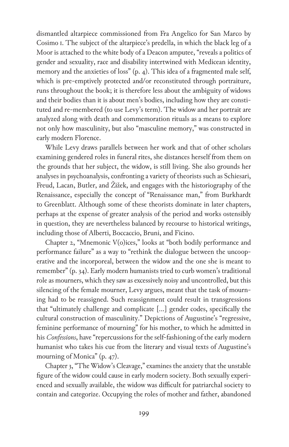dismantled altarpiece commissioned from Fra Angelico for San Marco by Cosimo i. The subject of the altarpiece's predella, in which the black leg of a Moor is attached to the white body of a Deacon amputee, "reveals a politics of gender and sexuality, race and disability intertwined with Medicean identity, memory and the anxieties of loss" (p. 4). This idea of a fragmented male self, which is pre-emptively protected and/or reconstituted through portraiture, runs throughout the book; it is therefore less about the ambiguity of widows and their bodies than it is about men's bodies, including how they are constituted and re-membered (to use Levy's term). The widow and her portrait are analyzed along with death and commemoration rituals as a means to explore not only how masculinity, but also "masculine memory," was constructed in early modern Florence.

While Levy draws parallels between her work and that of other scholars examining gendered roles in funeral rites, she distances herself from them on the grounds that her subject, the widow, is still living. She also grounds her analyses in psychoanalysis, confronting a variety of theorists such as Schiesari, Freud, Lacan, Butler, and Žižek, and engages with the historiography of the Renaissance, especially the concept of "Renaissance man," from Burkhardt to Greenblatt. Although some of these theorists dominate in later chapters, perhaps at the expense of greater analysis of the period and works ostensibly in question, they are nevertheless balanced by recourse to historical writings, including those of Alberti, Boccaccio, Bruni, and Ficino.

Chapter 2, "Mnemonic V(o)ices," looks at "both bodily performance and performance failure" as a way to "rethink the dialogue between the uncooperative and the incorporeal, between the widow and the one she is meant to remember" (p. 34). Early modern humanists tried to curb women's traditional role as mourners, which they saw as excessively noisy and uncontrolled, but this silencing of the female mourner, Levy argues, meant that the task of mourning had to be reassigned. Such reassignment could result in transgressions that "ultimately challenge and complicate […] gender codes, specifically the cultural construction of masculinity." Depictions of Augustine's "regressive, feminine performance of mourning" for his mother, to which he admitted in his *Confessions*, have "repercussions for the self-fashioning of the early modern humanist who takes his cue from the literary and visual texts of Augustine's mourning of Monica" (p. 47).

Chapter 3, "The Widow's Cleavage," examines the anxiety that the unstable figure of the widow could cause in early modern society. Both sexually experienced and sexually available, the widow was difficult for patriarchal society to contain and categorize. Occupying the roles of mother and father, abandoned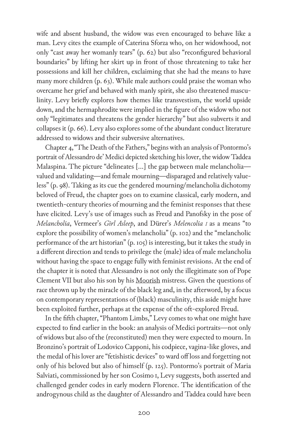wife and absent husband, the widow was even encouraged to behave like a man. Levy cites the example of Caterina Sforza who, on her widowhood, not only "cast away her womanly tears" (p. 62) but also "reconfigured behavioral boundaries" by lifting her skirt up in front of those threatening to take her possessions and kill her children, exclaiming that she had the means to have many more children (p. 63). While male authors could praise the woman who overcame her grief and behaved with manly spirit, she also threatened masculinity. Levy briefly explores how themes like transvestism, the world upside down, and the hermaphrodite were implied in the figure of the widow who not only "legitimates and threatens the gender hierarchy" but also subverts it and collapses it (p. 66). Levy also explores some of the abundant conduct literature addressed to widows and their subversive alternatives.

Chapter 4, "The Death of the Fathers," begins with an analysis of Pontormo's portrait of Alessandro de' Medici depicted sketching his lover, the widow Taddea Malaspina. The picture "delineates […] the gap between male melancholia valued and validating—and female mourning—disparaged and relatively valueless" (p. 98). Taking as its cue the gendered mourning/melancholia dichotomy beloved of Freud, the chapter goes on to examine classical, early modern, and twentieth-century theories of mourning and the feminist responses that these have elicited. Levy's use of images such as Freud and Panofsky in the pose of *Melancholia*, Vermeer's *Girl Asleep*, and Dürer's *Melencolia i* as a means "to explore the possibility of women's melancholia" (p. 102) and the "melancholic performance of the art historian" (p. 105) is interesting, but it takes the study in a different direction and tends to privilege the (male) idea of male melancholia without having the space to engage fully with feminist revisions. At the end of the chapter it is noted that Alessandro is not only the illegitimate son of Pope Clement VII but also his son by his Moorish mistress. Given the questions of race thrown up by the miracle of the black leg and, in the afterword, by a focus on contemporary representations of (black) masculinity, this aside might have been exploited further, perhaps at the expense of the oft-explored Freud.

In the fifth chapter, "Phantom Limbs," Levy comes to what one might have expected to find earlier in the book: an analysis of Medici portraits—not only of widows but also of the (reconstituted) men they were expected to mourn. In Bronzino's portrait of Lodovico Capponi, his codpiece, vagina-like gloves, and the medal of his lover are "fetishistic devices" to ward off loss and forgetting not only of his beloved but also of himself (p. 125). Pontormo's portrait of Maria Salviati, commissioned by her son Cosimo i, Levy suggests, both asserted and challenged gender codes in early modern Florence. The identification of the androgynous child as the daughter of Alessandro and Taddea could have been